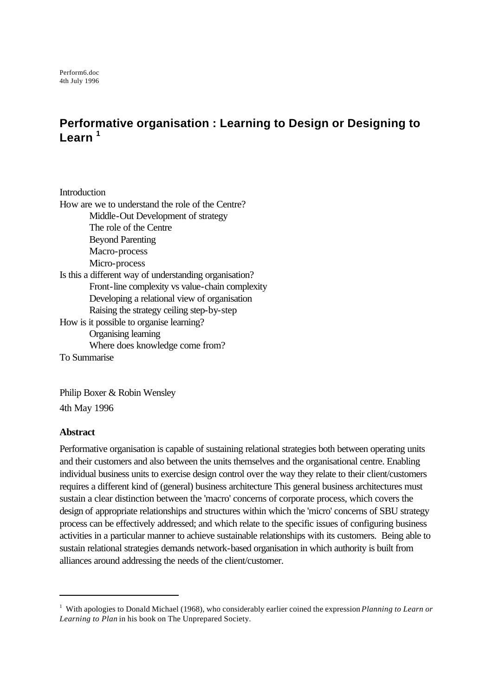# **Performative organisation : Learning to Design or Designing to Learn <sup>1</sup>**

**Introduction** How are we to understand the role of the Centre? Middle-Out Development of strategy The role of the Centre Beyond Parenting Macro-process Micro-process Is this a different way of understanding organisation? Front-line complexity vs value-chain complexity Developing a relational view of organisation Raising the strategy ceiling step-by-step How is it possible to organise learning? Organising learning Where does knowledge come from? To Summarise

Philip Boxer & Robin Wensley 4th May 1996

### **Abstract**

l

Performative organisation is capable of sustaining relational strategies both between operating units and their customers and also between the units themselves and the organisational centre. Enabling individual business units to exercise design control over the way they relate to their client/customers requires a different kind of (general) business architecture This general business architectures must sustain a clear distinction between the 'macro' concerns of corporate process, which covers the design of appropriate relationships and structures within which the 'micro' concerns of SBU strategy process can be effectively addressed; and which relate to the specific issues of configuring business activities in a particular manner to achieve sustainable relationships with its customers. Being able to sustain relational strategies demands network-based organisation in which authority is built from alliances around addressing the needs of the client/customer.

<sup>&</sup>lt;sup>1</sup> With apologies to Donald Michael (1968), who considerably earlier coined the expression *Planning to Learn or Learning to Plan* in his book on The Unprepared Society.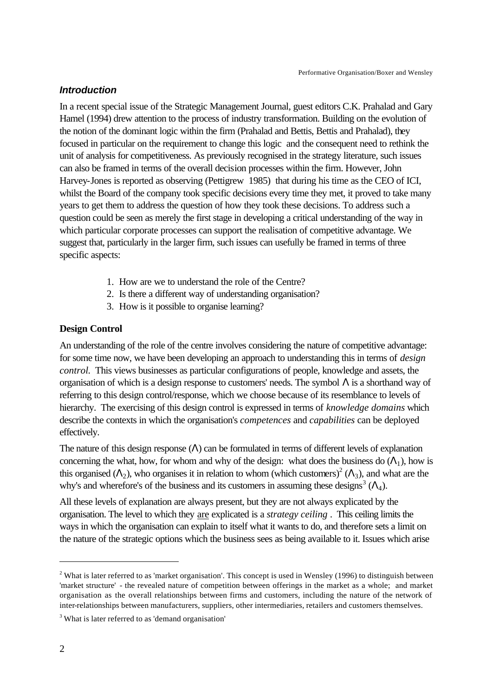### *Introduction*

In a recent special issue of the Strategic Management Journal, guest editors C.K. Prahalad and Gary Hamel (1994) drew attention to the process of industry transformation. Building on the evolution of the notion of the dominant logic within the firm (Prahalad and Bettis, Bettis and Prahalad), they focused in particular on the requirement to change this logic and the consequent need to rethink the unit of analysis for competitiveness. As previously recognised in the strategy literature, such issues can also be framed in terms of the overall decision processes within the firm. However, John Harvey-Jones is reported as observing (Pettigrew 1985) that during his time as the CEO of ICI, whilst the Board of the company took specific decisions every time they met, it proved to take many years to get them to address the question of how they took these decisions. To address such a question could be seen as merely the first stage in developing a critical understanding of the way in which particular corporate processes can support the realisation of competitive advantage. We suggest that, particularly in the larger firm, such issues can usefully be framed in terms of three specific aspects:

- 1. How are we to understand the role of the Centre?
- 2. Is there a different way of understanding organisation?
- 3. How is it possible to organise learning?

### **Design Control**

An understanding of the role of the centre involves considering the nature of competitive advantage: for some time now, we have been developing an approach to understanding this in terms of *design control*. This views businesses as particular configurations of people, knowledge and assets, the organisation of which is a design response to customers' needs. The symbol  $\Lambda$  is a shorthand way of referring to this design control/response, which we choose because of its resemblance to levels of hierarchy. The exercising of this design control is expressed in terms of *knowledge domains* which describe the contexts in which the organisation's *competences* and *capabilities* can be deployed effectively.

The nature of this design response  $(\Lambda)$  can be formulated in terms of different levels of explanation concerning the what, how, for whom and why of the design: what does the business do  $(A_1)$ , how is this organised ( $\Lambda_2$ ), who organises it in relation to whom (which customers)<sup>2</sup> ( $\Lambda_3$ ), and what are the why's and wherefore's of the business and its customers in assuming these designs<sup>3</sup> ( $\Lambda$ <sub>4</sub>).

All these levels of explanation are always present, but they are not always explicated by the organisation. The level to which they are explicated is a *strategy ceiling* . This ceiling limits the ways in which the organisation can explain to itself what it wants to do, and therefore sets a limit on the nature of the strategic options which the business sees as being available to it. Issues which arise

 $2$  What is later referred to as 'market organisation'. This concept is used in Wensley (1996) to distinguish between 'market structure' - the revealed nature of competition between offerings in the market as a whole; and market organisation as the overall relationships between firms and customers, including the nature of the network of inter-relationships between manufacturers, suppliers, other intermediaries, retailers and customers themselves.

<sup>&</sup>lt;sup>3</sup> What is later referred to as 'demand organisation'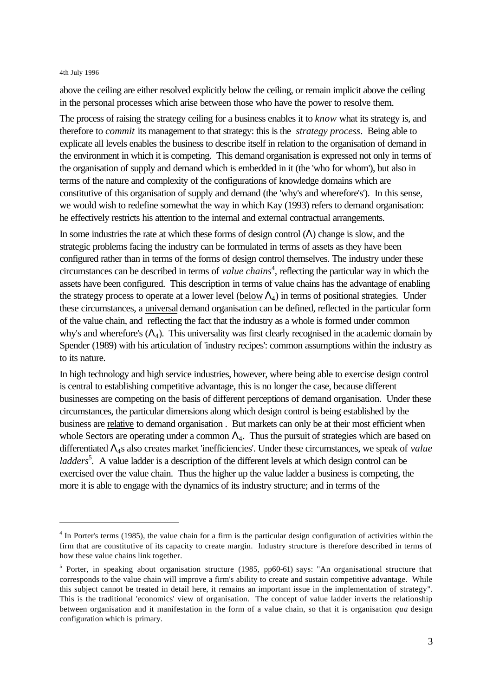l

above the ceiling are either resolved explicitly below the ceiling, or remain implicit above the ceiling in the personal processes which arise between those who have the power to resolve them.

The process of raising the strategy ceiling for a business enables it to *know* what its strategy is, and therefore to *commit* its management to that strategy: this is the *strategy process*. Being able to explicate all levels enables the business to describe itself in relation to the organisation of demand in the environment in which it is competing. This demand organisation is expressed not only in terms of the organisation of supply and demand which is embedded in it (the 'who for whom'), but also in terms of the nature and complexity of the configurations of knowledge domains which are constitutive of this organisation of supply and demand (the 'why's and wherefore's'). In this sense, we would wish to redefine somewhat the way in which Kay (1993) refers to demand organisation: he effectively restricts his attention to the internal and external contractual arrangements.

In some industries the rate at which these forms of design control  $(\Lambda)$  change is slow, and the strategic problems facing the industry can be formulated in terms of assets as they have been configured rather than in terms of the forms of design control themselves. The industry under these circumstances can be described in terms of *value chains*<sup>4</sup>, reflecting the particular way in which the assets have been configured. This description in terms of value chains has the advantage of enabling the strategy process to operate at a lower level  $(\underline{\text{below}} \Lambda_4)$  in terms of positional strategies. Under these circumstances, a universal demand organisation can be defined, reflected in the particular form of the value chain, and reflecting the fact that the industry as a whole is formed under common why's and wherefore's  $(\Lambda_4)$ . This universality was first clearly recognised in the academic domain by Spender (1989) with his articulation of 'industry recipes': common assumptions within the industry as to its nature.

In high technology and high service industries, however, where being able to exercise design control is central to establishing competitive advantage, this is no longer the case, because different businesses are competing on the basis of different perceptions of demand organisation. Under these circumstances, the particular dimensions along which design control is being established by the business are relative to demand organisation . But markets can only be at their most efficient when whole Sectors are operating under a common  $\Lambda_4$ . Thus the pursuit of strategies which are based on differentiated Λ4s also creates market 'inefficiencies'. Under these circumstances, we speak of *value ladders*<sup>5</sup>. A value ladder is a description of the different levels at which design control can be exercised over the value chain. Thus the higher up the value ladder a business is competing, the more it is able to engage with the dynamics of its industry structure; and in terms of the

<sup>&</sup>lt;sup>4</sup> In Porter's terms (1985), the value chain for a firm is the particular design configuration of activities within the firm that are constitutive of its capacity to create margin. Industry structure is therefore described in terms of how these value chains link together.

<sup>&</sup>lt;sup>5</sup> Porter, in speaking about organisation structure (1985, pp60-61) says: "An organisational structure that corresponds to the value chain will improve a firm's ability to create and sustain competitive advantage. While this subject cannot be treated in detail here, it remains an important issue in the implementation of strategy". This is the traditional 'economics' view of organisation. The concept of value ladder inverts the relationship between organisation and it manifestation in the form of a value chain, so that it is organisation *qua* design configuration which is primary.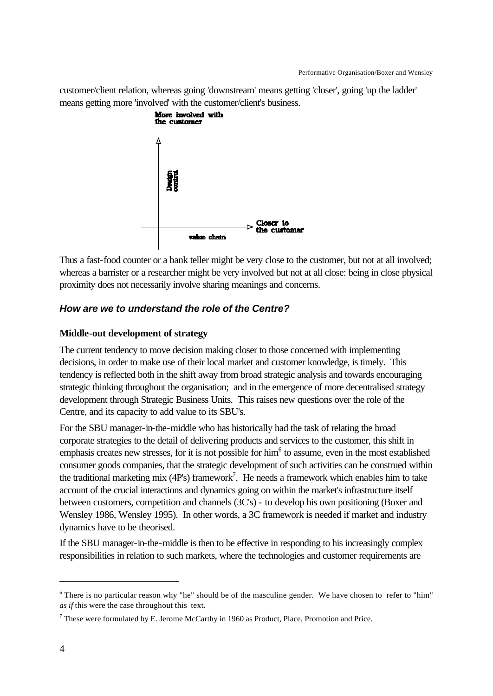customer/client relation, whereas going 'downstream' means getting 'closer', going 'up the ladder' means getting more 'involved' with the customer/client's business.



Thus a fast-food counter or a bank teller might be very close to the customer, but not at all involved; whereas a barrister or a researcher might be very involved but not at all close: being in close physical proximity does not necessarily involve sharing meanings and concerns.

# *How are we to understand the role of the Centre?*

# **Middle-out development of strategy**

The current tendency to move decision making closer to those concerned with implementing decisions, in order to make use of their local market and customer knowledge, is timely. This tendency is reflected both in the shift away from broad strategic analysis and towards encouraging strategic thinking throughout the organisation; and in the emergence of more decentralised strategy development through Strategic Business Units. This raises new questions over the role of the Centre, and its capacity to add value to its SBU's.

For the SBU manager-in-the-middle who has historically had the task of relating the broad corporate strategies to the detail of delivering products and services to the customer, this shift in emphasis creates new stresses, for it is not possible for him<sup>6</sup> to assume, even in the most established consumer goods companies, that the strategic development of such activities can be construed within the traditional marketing mix (4P's) framework<sup>7</sup>. He needs a framework which enables him to take account of the crucial interactions and dynamics going on within the market's infrastructure itself between customers, competition and channels (3C's) - to develop his own positioning (Boxer and Wensley 1986, Wensley 1995). In other words, a 3C framework is needed if market and industry dynamics have to be theorised.

If the SBU manager-in-the-middle is then to be effective in responding to his increasingly complex responsibilities in relation to such markets, where the technologies and customer requirements are

<sup>&</sup>lt;sup>6</sup> There is no particular reason why "he" should be of the masculine gender. We have chosen to refer to "him" *as if* this were the case throughout this text.

 $^7$  These were formulated by E. Jerome McCarthy in 1960 as Product, Place, Promotion and Price.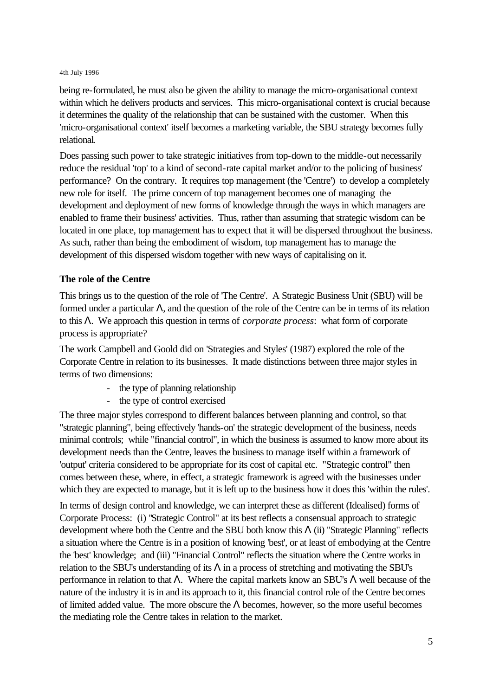being re-formulated, he must also be given the ability to manage the micro-organisational context within which he delivers products and services. This micro-organisational context is crucial because it determines the quality of the relationship that can be sustained with the customer. When this 'micro-organisational context' itself becomes a marketing variable, the SBU strategy becomes fully relational.

Does passing such power to take strategic initiatives from top-down to the middle-out necessarily reduce the residual 'top' to a kind of second-rate capital market and/or to the policing of business' performance? On the contrary. It requires top management (the 'Centre') to develop a completely new role for itself. The prime concern of top management becomes one of managing the development and deployment of new forms of knowledge through the ways in which managers are enabled to frame their business' activities. Thus, rather than assuming that strategic wisdom can be located in one place, top management has to expect that it will be dispersed throughout the business. As such, rather than being the embodiment of wisdom, top management has to manage the development of this dispersed wisdom together with new ways of capitalising on it.

### **The role of the Centre**

This brings us to the question of the role of 'The Centre'. A Strategic Business Unit (SBU) will be formed under a particular Λ, and the question of the role of the Centre can be in terms of its relation to this Λ. We approach this question in terms of *corporate process*: what form of corporate process is appropriate?

The work Campbell and Goold did on 'Strategies and Styles' (1987) explored the role of the Corporate Centre in relation to its businesses. It made distinctions between three major styles in terms of two dimensions:

- the type of planning relationship
- the type of control exercised

The three major styles correspond to different balances between planning and control, so that "strategic planning", being effectively 'hands-on' the strategic development of the business, needs minimal controls; while "financial control", in which the business is assumed to know more about its development needs than the Centre, leaves the business to manage itself within a framework of 'output' criteria considered to be appropriate for its cost of capital etc. "Strategic control" then comes between these, where, in effect, a strategic framework is agreed with the businesses under which they are expected to manage, but it is left up to the business how it does this 'within the rules'.

In terms of design control and knowledge, we can interpret these as different (Idealised) forms of Corporate Process: (i) "Strategic Control" at its best reflects a consensual approach to strategic development where both the Centre and the SBU both know this  $\Lambda$  (ii) "Strategic Planning" reflects a situation where the Centre is in a position of knowing 'best', or at least of embodying at the Centre the 'best' knowledge; and (iii) "Financial Control" reflects the situation where the Centre works in relation to the SBU's understanding of its  $\Lambda$  in a process of stretching and motivating the SBU's performance in relation to that Λ. Where the capital markets know an SBU's Λ well because of the nature of the industry it is in and its approach to it, this financial control role of the Centre becomes of limited added value. The more obscure the  $\Lambda$  becomes, however, so the more useful becomes the mediating role the Centre takes in relation to the market.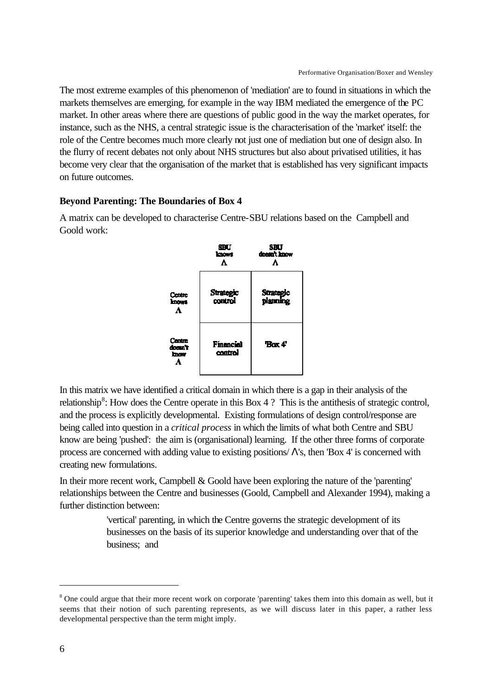The most extreme examples of this phenomenon of 'mediation' are to found in situations in which the markets themselves are emerging, for example in the way IBM mediated the emergence of the PC market. In other areas where there are questions of public good in the way the market operates, for instance, such as the NHS, a central strategic issue is the characterisation of the 'market' itself: the role of the Centre becomes much more clearly not just one of mediation but one of design also. In the flurry of recent debates not only about NHS structures but also about privatised utilities, it has become very clear that the organisation of the market that is established has very significant impacts on future outcomes.

### **Beyond Parenting: The Boundaries of Box 4**

A matrix can be developed to characterise Centre-SBU relations based on the Campbell and Goold work:



In this matrix we have identified a critical domain in which there is a gap in their analysis of the relationship<sup>8</sup>: How does the Centre operate in this Box 4 ? This is the antithesis of strategic control, and the process is explicitly developmental. Existing formulations of design control/response are being called into question in a *critical process* in which the limits of what both Centre and SBU know are being 'pushed': the aim is (organisational) learning. If the other three forms of corporate process are concerned with adding value to existing positions/ $\Lambda$ 's, then 'Box 4' is concerned with creating new formulations.

In their more recent work, Campbell  $& Good$  have been exploring the nature of the 'parenting' relationships between the Centre and businesses (Goold, Campbell and Alexander 1994), making a further distinction between:

> 'vertical' parenting, in which the Centre governs the strategic development of its businesses on the basis of its superior knowledge and understanding over that of the business; and

<sup>&</sup>lt;sup>8</sup> One could argue that their more recent work on corporate 'parenting' takes them into this domain as well, but it seems that their notion of such parenting represents, as we will discuss later in this paper, a rather less developmental perspective than the term might imply.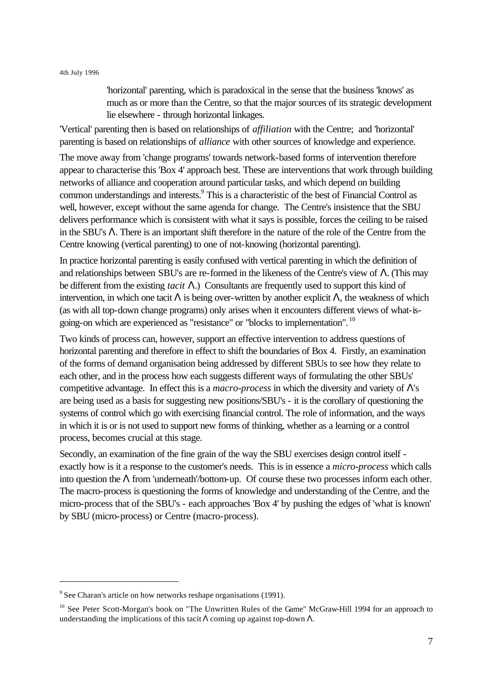'horizontal' parenting, which is paradoxical in the sense that the business 'knows' as much as or more than the Centre, so that the major sources of its strategic development lie elsewhere - through horizontal linkages.

'Vertical' parenting then is based on relationships of *affiliation* with the Centre; and 'horizontal' parenting is based on relationships of *alliance* with other sources of knowledge and experience.

The move away from 'change programs' towards network-based forms of intervention therefore appear to characterise this 'Box 4' approach best. These are interventions that work through building networks of alliance and cooperation around particular tasks, and which depend on building common understandings and interests.<sup>9</sup> This is a characteristic of the best of Financial Control as well, however, except without the same agenda for change. The Centre's insistence that the SBU delivers performance which is consistent with what it says is possible, forces the ceiling to be raised in the SBU's Λ. There is an important shift therefore in the nature of the role of the Centre from the Centre knowing (vertical parenting) to one of not-knowing (horizontal parenting).

In practice horizontal parenting is easily confused with vertical parenting in which the definition of and relationships between SBU's are re-formed in the likeness of the Centre's view of Λ. (This may be different from the existing *tacit* Λ.) Consultants are frequently used to support this kind of intervention, in which one tacit Λ is being over-written by another explicit Λ, the weakness of which (as with all top-down change programs) only arises when it encounters different views of what-isgoing-on which are experienced as "resistance" or "blocks to implementation". <sup>10</sup>

Two kinds of process can, however, support an effective intervention to address questions of horizontal parenting and therefore in effect to shift the boundaries of Box 4. Firstly, an examination of the forms of demand organisation being addressed by different SBUs to see how they relate to each other, and in the process how each suggests different ways of formulating the other SBUs' competitive advantage. In effect this is a *macro-process* in which the diversity and variety of Λ's are being used as a basis for suggesting new positions/SBU's - it is the corollary of questioning the systems of control which go with exercising financial control. The role of information, and the ways in which it is or is not used to support new forms of thinking, whether as a learning or a control process, becomes crucial at this stage.

Secondly, an examination of the fine grain of the way the SBU exercises design control itself exactly how is it a response to the customer's needs. This is in essence a *micro-process* which calls into question the  $\Lambda$  from 'underneath'/bottom-up. Of course these two processes inform each other. The macro-process is questioning the forms of knowledge and understanding of the Centre, and the micro-process that of the SBU's - each approaches 'Box 4' by pushing the edges of 'what is known' by SBU (micro-process) or Centre (macro-process).

 $9^9$  See Charan's article on how networks reshape organisations (1991).

<sup>&</sup>lt;sup>10</sup> See Peter Scott-Morgan's book on "The Unwritten Rules of the Game" McGraw-Hill 1994 for an approach to understanding the implications of this tacit  $\Lambda$  coming up against top-down  $\Lambda$ .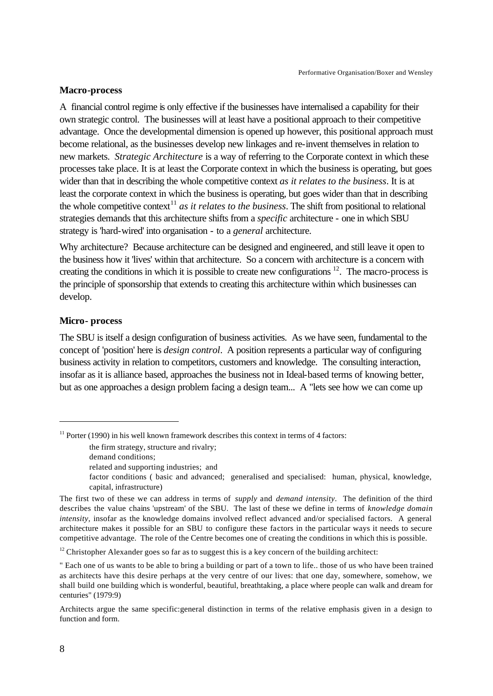### **Macro-process**

A financial control regime is only effective if the businesses have internalised a capability for their own strategic control. The businesses will at least have a positional approach to their competitive advantage. Once the developmental dimension is opened up however, this positional approach must become relational, as the businesses develop new linkages and re-invent themselves in relation to new markets. *Strategic Architecture* is a way of referring to the Corporate context in which these processes take place. It is at least the Corporate context in which the business is operating, but goes wider than that in describing the whole competitive context *as it relates to the business*. It is at least the corporate context in which the business is operating, but goes wider than that in describing the whole competitive context<sup>11</sup> *as it relates to the business*. The shift from positional to relational strategies demands that this architecture shifts from a *specific* architecture - one in which SBU strategy is 'hard-wired' into organisation - to a *general* architecture.

Why architecture? Because architecture can be designed and engineered, and still leave it open to the business how it 'lives' within that architecture. So a concern with architecture is a concern with creating the conditions in which it is possible to create new configurations  $12$ . The macro-process is the principle of sponsorship that extends to creating this architecture within which businesses can develop.

### **Micro- process**

The SBU is itself a design configuration of business activities. As we have seen, fundamental to the concept of 'position' here is *design control*. A position represents a particular way of configuring business activity in relation to competitors, customers and knowledge. The consulting interaction, insofar as it is alliance based, approaches the business not in Ideal-based terms of knowing better, but as one approaches a design problem facing a design team... A "lets see how we can come up

 $11$  Porter (1990) in his well known framework describes this context in terms of 4 factors:

the firm strategy, structure and rivalry;

demand conditions;

related and supporting industries; and

factor conditions ( basic and advanced; generalised and specialised: human, physical, knowledge, capital, infrastructure)

The first two of these we can address in terms of *supply* and *demand intensity*. The definition of the third describes the value chains 'upstream' of the SBU. The last of these we define in terms of *knowledge domain intensity,* insofar as the knowledge domains involved reflect advanced and/or specialised factors. A general architecture makes it possible for an SBU to configure these factors in the particular ways it needs to secure competitive advantage. The role of the Centre becomes one of creating the conditions in which this is possible.

<sup>&</sup>lt;sup>12</sup> Christopher Alexander goes so far as to suggest this is a key concern of the building architect:

<sup>&</sup>quot; Each one of us wants to be able to bring a building or part of a town to life.. those of us who have been trained as architects have this desire perhaps at the very centre of our lives: that one day, somewhere, somehow, we shall build one building which is wonderful, beautiful, breathtaking, a place where people can walk and dream for centuries" (1979:9)

Architects argue the same specific:general distinction in terms of the relative emphasis given in a design to function and form.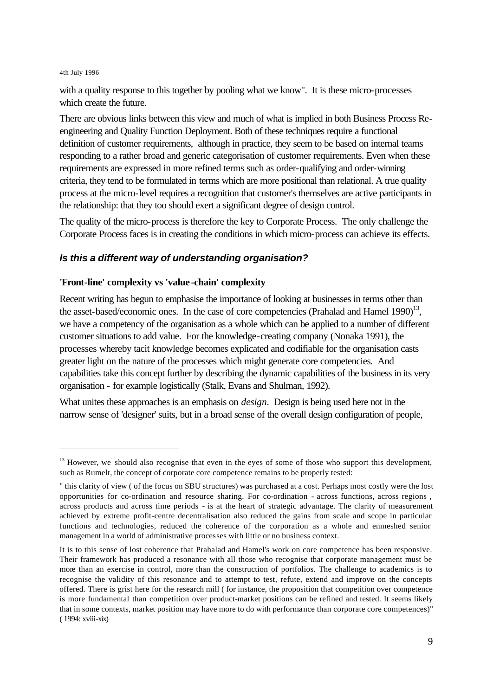l

with a quality response to this together by pooling what we know". It is these micro-processes which create the future.

There are obvious links between this view and much of what is implied in both Business Process Reengineering and Quality Function Deployment. Both of these techniques require a functional definition of customer requirements, although in practice, they seem to be based on internal teams responding to a rather broad and generic categorisation of customer requirements. Even when these requirements are expressed in more refined terms such as order-qualifying and order-winning criteria, they tend to be formulated in terms which are more positional than relational. A true quality process at the micro-level requires a recognition that customer's themselves are active participants in the relationship: that they too should exert a significant degree of design control.

The quality of the micro-process is therefore the key to Corporate Process. The only challenge the Corporate Process faces is in creating the conditions in which micro-process can achieve its effects.

# *Is this a different way of understanding organisation?*

### **'Front-line' complexity vs 'value-chain' complexity**

Recent writing has begun to emphasise the importance of looking at businesses in terms other than the asset-based/economic ones. In the case of core competencies (Prahalad and Hamel  $1990$ )<sup>13</sup>, we have a competency of the organisation as a whole which can be applied to a number of different customer situations to add value. For the knowledge-creating company (Nonaka 1991), the processes whereby tacit knowledge becomes explicated and codifiable for the organisation casts greater light on the nature of the processes which might generate core competencies. And capabilities take this concept further by describing the dynamic capabilities of the business in its very organisation - for example logistically (Stalk, Evans and Shulman, 1992).

What unites these approaches is an emphasis on *design*. Design is being used here not in the narrow sense of 'designer' suits, but in a broad sense of the overall design configuration of people,

 $13$  However, we should also recognise that even in the eyes of some of those who support this development, such as Rumelt, the concept of corporate core competence remains to be properly tested:

<sup>&</sup>quot; this clarity of view ( of the focus on SBU structures) was purchased at a cost. Perhaps most costly were the lost opportunities for co-ordination and resource sharing. For co-ordination - across functions, across regions , across products and across time periods - is at the heart of strategic advantage. The clarity of measurement achieved by extreme profit-centre decentralisation also reduced the gains from scale and scope in particular functions and technologies, reduced the coherence of the corporation as a whole and enmeshed senior management in a world of administrative processes with little or no business context.

It is to this sense of lost coherence that Prahalad and Hamel's work on core competence has been responsive. Their framework has produced a resonance with all those who recognise that corporate management must be more than an exercise in control, more than the construction of portfolios. The challenge to academics is to recognise the validity of this resonance and to attempt to test, refute, extend and improve on the concepts offered. There is grist here for the research mill ( for instance, the proposition that competition over competence is more fundamental than competition over product-market positions can be refined and tested. It seems likely that in some contexts, market position may have more to do with performance than corporate core competences)" ( 1994: xviii-xix)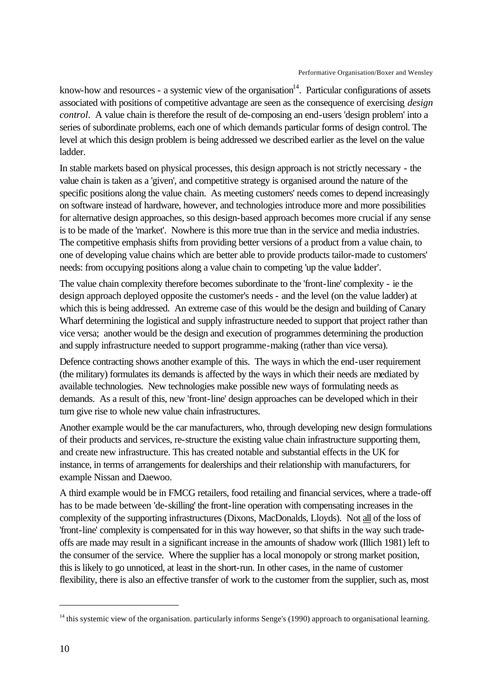know-how and resources - a systemic view of the organisation<sup>14</sup>. Particular configurations of assets associated with positions of competitive advantage are seen as the consequence of exercising *design control*. A value chain is therefore the result of de-composing an end-users 'design problem' into a series of subordinate problems, each one of which demands particular forms of design control. The level at which this design problem is being addressed we described earlier as the level on the value ladder.

In stable markets based on physical processes, this design approach is not strictly necessary - the value chain is taken as a 'given', and competitive strategy is organised around the nature of the specific positions along the value chain. As meeting customers' needs comes to depend increasingly on software instead of hardware, however, and technologies introduce more and more possibilities for alternative design approaches, so this design-based approach becomes more crucial if any sense is to be made of the 'market'. Nowhere is this more true than in the service and media industries. The competitive emphasis shifts from providing better versions of a product from a value chain, to one of developing value chains which are better able to provide products tailor-made to customers' needs: from occupying positions along a value chain to competing 'up the value ladder'.

The value chain complexity therefore becomes subordinate to the 'front-line' complexity - ie the design approach deployed opposite the customer's needs - and the level (on the value ladder) at which this is being addressed. An extreme case of this would be the design and building of Canary Wharf determining the logistical and supply infrastructure needed to support that project rather than vice versa; another would be the design and execution of programmes determining the production and supply infrastructure needed to support programme-making (rather than vice versa).

Defence contracting shows another example of this. The ways in which the end-user requirement (the military) formulates its demands is affected by the ways in which their needs are mediated by available technologies. New technologies make possible new ways of formulating needs as demands. As a result of this, new 'front-line' design approaches can be developed which in their turn give rise to whole new value chain infrastructures.

Another example would be the car manufacturers, who, through developing new design formulations of their products and services, re-structure the existing value chain infrastructure supporting them, and create new infrastructure. This has created notable and substantial effects in the UK for instance, in terms of arrangements for dealerships and their relationship with manufacturers, for example Nissan and Daewoo.

A third example would be in FMCG retailers, food retailing and financial services, where a trade-off has to be made between 'de-skilling' the front-line operation with compensating increases in the complexity of the supporting infrastructures (Dixons, MacDonalds, Lloyds). Not all of the loss of 'front-line' complexity is compensated for in this way however, so that shifts in the way such tradeoffs are made may result in a significant increase in the amounts of shadow work (Illich 1981) left to the consumer of the service. Where the supplier has a local monopoly or strong market position, this is likely to go unnoticed, at least in the short-run. In other cases, in the name of customer flexibility, there is also an effective transfer of work to the customer from the supplier, such as, most

 $14$  this systemic view of the organisation. particularly informs Senge's (1990) approach to organisational learning.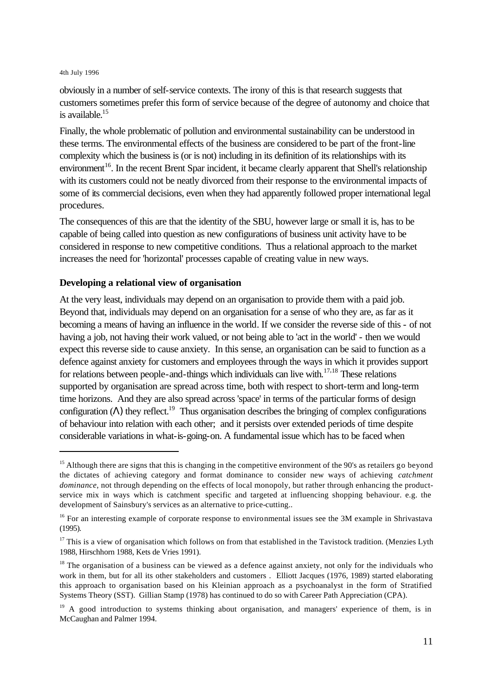l

obviously in a number of self-service contexts. The irony of this is that research suggests that customers sometimes prefer this form of service because of the degree of autonomy and choice that is available.<sup>15</sup>

Finally, the whole problematic of pollution and environmental sustainability can be understood in these terms. The environmental effects of the business are considered to be part of the front-line complexity which the business is (or is not) including in its definition of its relationships with its environment<sup>16</sup>. In the recent Brent Spar incident, it became clearly apparent that Shell's relationship with its customers could not be neatly divorced from their response to the environmental impacts of some of its commercial decisions, even when they had apparently followed proper international legal procedures.

The consequences of this are that the identity of the SBU, however large or small it is, has to be capable of being called into question as new configurations of business unit activity have to be considered in response to new competitive conditions. Thus a relational approach to the market increases the need for 'horizontal' processes capable of creating value in new ways.

### **Developing a relational view of organisation**

At the very least, individuals may depend on an organisation to provide them with a paid job. Beyond that, individuals may depend on an organisation for a sense of who they are, as far as it becoming a means of having an influence in the world. If we consider the reverse side of this - of not having a job, not having their work valued, or not being able to 'act in the world' - then we would expect this reverse side to cause anxiety. In this sense, an organisation can be said to function as a defence against anxiety for customers and employees through the ways in which it provides support for relations between people-and-things which individuals can live with. $17,18$  These relations supported by organisation are spread across time, both with respect to short-term and long-term time horizons. And they are also spread across 'space' in terms of the particular forms of design configuration ( $\Lambda$ ) they reflect.<sup>19</sup> Thus organisation describes the bringing of complex configurations of behaviour into relation with each other; and it persists over extended periods of time despite considerable variations in what-is-going-on. A fundamental issue which has to be faced when

 $15$  Although there are signs that this is changing in the competitive environment of the 90's as retailers go beyond the dictates of achieving category and format dominance to consider new ways of achieving *catchment dominance*, not through depending on the effects of local monopoly, but rather through enhancing the productservice mix in ways which is catchment specific and targeted at influencing shopping behaviour. e.g. the development of Sainsbury's services as an alternative to price-cutting..

<sup>&</sup>lt;sup>16</sup> For an interesting example of corporate response to environmental issues see the 3M example in Shrivastava (1995).

 $17$  This is a view of organisation which follows on from that established in the Tavistock tradition. (Menzies Lyth 1988, Hirschhorn 1988, Kets de Vries 1991).

<sup>&</sup>lt;sup>18</sup> The organisation of a business can be viewed as a defence against anxiety, not only for the individuals who work in them, but for all its other stakeholders and customers. Elliott Jacques (1976, 1989) started elaborating this approach to organisation based on his Kleinian approach as a psychoanalyst in the form of Stratified Systems Theory (SST). Gillian Stamp (1978) has continued to do so with Career Path Appreciation (CPA).

<sup>&</sup>lt;sup>19</sup> A good introduction to systems thinking about organisation, and managers' experience of them, is in McCaughan and Palmer 1994.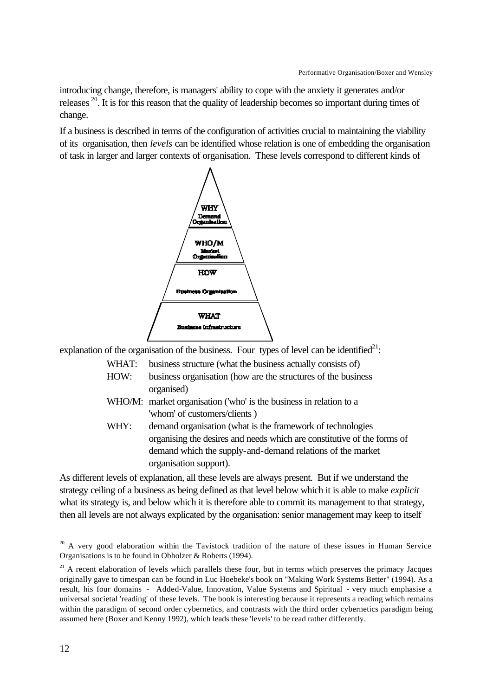introducing change, therefore, is managers' ability to cope with the anxiety it generates and/or releases <sup>20</sup>. It is for this reason that the quality of leadership becomes so important during times of change.

If a business is described in terms of the configuration of activities crucial to maintaining the viability of its organisation, then *levels* can be identified whose relation is one of embedding the organisation of task in larger and larger contexts of organisation. These levels correspond to different kinds of



explanation of the organisation of the business. Four types of level can be identified<sup>21</sup>:

WHAT: business structure (what the business actually consists of)

- HOW: business organisation (how are the structures of the business organised)
- WHO/M: market organisation ('who' is the business in relation to a 'whom' of customers/clients )
- WHY: demand organisation (what is the framework of technologies organising the desires and needs which are constitutive of the forms of demand which the supply-and-demand relations of the market organisation support).

As different levels of explanation, all these levels are always present. But if we understand the strategy ceiling of a business as being defined as that level below which it is able to make *explicit* what its strategy is, and below which it is therefore able to commit its management to that strategy, then all levels are not always explicated by the organisation: senior management may keep to itself

 $20$  A very good elaboration within the Tavistock tradition of the nature of these issues in Human Service Organisations is to be found in Obholzer & Roberts (1994).

<sup>&</sup>lt;sup>21</sup> A recent elaboration of levels which parallels these four, but in terms which preserves the primacy Jacques originally gave to timespan can be found in Luc Hoebeke's book on "Making Work Systems Better" (1994). As a result, his four domains - Added-Value, Innovation, Value Systems and Spiritual - very much emphasise a universal societal 'reading' of these levels. The book is interesting because it represents a reading which remains within the paradigm of second order cybernetics, and contrasts with the third order cybernetics paradigm being assumed here (Boxer and Kenny 1992), which leads these 'levels' to be read rather differently.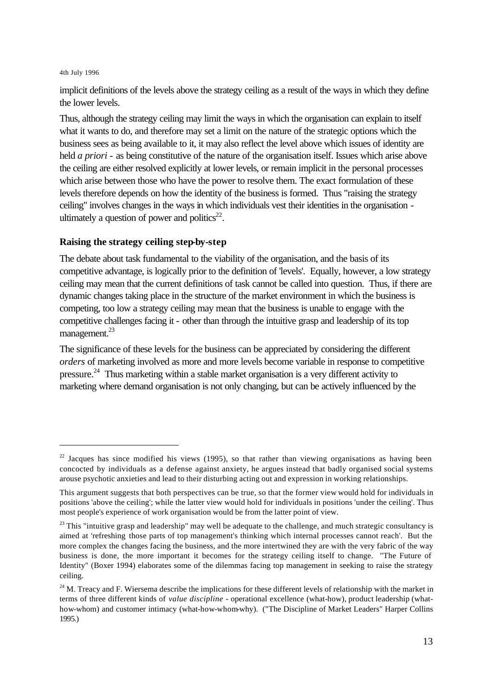l

implicit definitions of the levels above the strategy ceiling as a result of the ways in which they define the lower levels.

Thus, although the strategy ceiling may limit the ways in which the organisation can explain to itself what it wants to do, and therefore may set a limit on the nature of the strategic options which the business sees as being available to it, it may also reflect the level above which issues of identity are held *a priori* - as being constitutive of the nature of the organisation itself. Issues which arise above the ceiling are either resolved explicitly at lower levels, or remain implicit in the personal processes which arise between those who have the power to resolve them. The exact formulation of these levels therefore depends on how the identity of the business is formed. Thus "raising the strategy ceiling" involves changes in the ways in which individuals vest their identities in the organisation ultimately a question of power and politics $22$ .

### **Raising the strategy ceiling step-by-step**

The debate about task fundamental to the viability of the organisation, and the basis of its competitive advantage, is logically prior to the definition of 'levels'. Equally, however, a low strategy ceiling may mean that the current definitions of task cannot be called into question. Thus, if there are dynamic changes taking place in the structure of the market environment in which the business is competing, too low a strategy ceiling may mean that the business is unable to engage with the competitive challenges facing it - other than through the intuitive grasp and leadership of its top management.<sup>23</sup>

The significance of these levels for the business can be appreciated by considering the different *orders* of marketing involved as more and more levels become variable in response to competitive pressure.<sup>24</sup> Thus marketing within a stable market organisation is a very different activity to marketing where demand organisation is not only changing, but can be actively influenced by the

 $22$  Jacques has since modified his views (1995), so that rather than viewing organisations as having been concocted by individuals as a defense against anxiety, he argues instead that badly organised social systems arouse psychotic anxieties and lead to their disturbing acting out and expression in working relationships.

This argument suggests that both perspectives can be true, so that the former view would hold for individuals in positions 'above the ceiling'; while the latter view would hold for individuals in positions 'under the ceiling'. Thus most people's experience of work organisation would be from the latter point of view.

 $23$  This "intuitive grasp and leadership" may well be adequate to the challenge, and much strategic consultancy is aimed at 'refreshing those parts of top management's thinking which internal processes cannot reach'. But the more complex the changes facing the business, and the more intertwined they are with the very fabric of the way business is done, the more important it becomes for the strategy ceiling itself to change. "The Future of Identity" (Boxer 1994) elaborates some of the dilemmas facing top management in seeking to raise the strategy ceiling.

<sup>&</sup>lt;sup>24</sup> M. Treacy and F. Wiersema describe the implications for these different levels of relationship with the market in terms of three different kinds of *value discipline* - operational excellence (what-how), product leadership (whathow-whom) and customer intimacy (what-how-whom-why). ("The Discipline of Market Leaders" Harper Collins 1995.)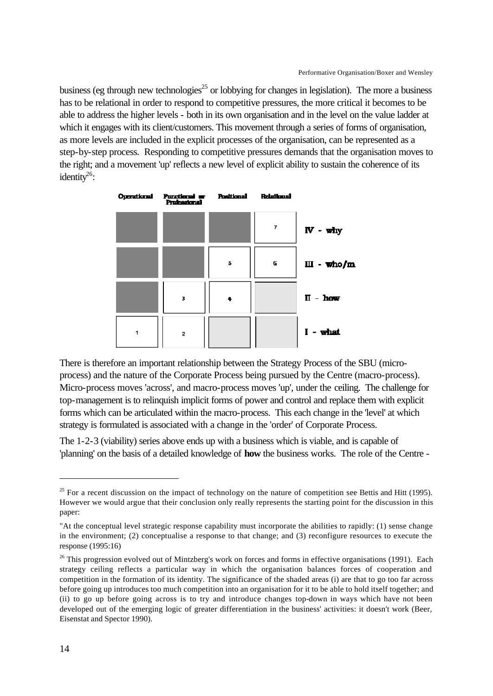business (eg through new technologies<sup>25</sup> or lobbying for changes in legislation). The more a business has to be relational in order to respond to competitive pressures, the more critical it becomes to be able to address the higher levels - both in its own organisation and in the level on the value ladder at which it engages with its client/customers. This movement through a series of forms of organisation, as more levels are included in the explicit processes of the organisation, can be represented as a step-by-step process. Responding to competitive pressures demands that the organisation moves to the right; and a movement 'up' reflects a new level of explicit ability to sustain the coherence of its identity<sup>26</sup>:



There is therefore an important relationship between the Strategy Process of the SBU (microprocess) and the nature of the Corporate Process being pursued by the Centre (macro-process). Micro-process moves 'across', and macro-process moves 'up', under the ceiling. The challenge for top-management is to relinquish implicit forms of power and control and replace them with explicit forms which can be articulated within the macro-process. This each change in the 'level' at which strategy is formulated is associated with a change in the 'order' of Corporate Process.

The 1-2-3 (viability) series above ends up with a business which is viable, and is capable of 'planning' on the basis of a detailed knowledge of **how** the business works. The role of the Centre -

 $25$  For a recent discussion on the impact of technology on the nature of competition see Bettis and Hitt (1995). However we would argue that their conclusion only really represents the starting point for the discussion in this paper:

<sup>&</sup>quot;At the conceptual level strategic response capability must incorporate the abilities to rapidly: (1) sense change in the environment; (2) conceptualise a response to that change; and (3) reconfigure resources to execute the response (1995:16)

<sup>&</sup>lt;sup>26</sup> This progression evolved out of Mintzberg's work on forces and forms in effective organisations (1991). Each strategy ceiling reflects a particular way in which the organisation balances forces of cooperation and competition in the formation of its identity. The significance of the shaded areas (i) are that to go too far across before going up introduces too much competition into an organisation for it to be able to hold itself together; and (ii) to go up before going across is to try and introduce changes top-down in ways which have not been developed out of the emerging logic of greater differentiation in the business' activities: it doesn't work (Beer, Eisenstat and Spector 1990).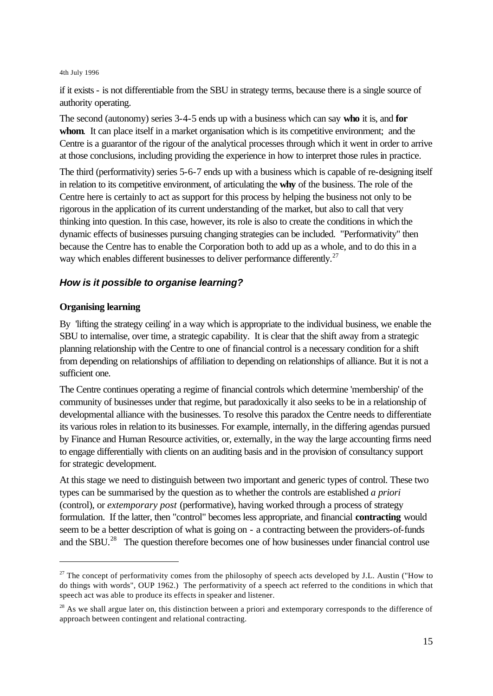if it exists - is not differentiable from the SBU in strategy terms, because there is a single source of authority operating.

The second (autonomy) series 3-4-5 ends up with a business which can say **who** it is, and **for**  whom. It can place itself in a market organisation which is its competitive environment; and the Centre is a guarantor of the rigour of the analytical processes through which it went in order to arrive at those conclusions, including providing the experience in how to interpret those rules in practice.

The third (performativity) series 5-6-7 ends up with a business which is capable of re-designing itself in relation to its competitive environment, of articulating the **why** of the business. The role of the Centre here is certainly to act as support for this process by helping the business not only to be rigorous in the application of its current understanding of the market, but also to call that very thinking into question. In this case, however, its role is also to create the conditions in which the dynamic effects of businesses pursuing changing strategies can be included. "Performativity" then because the Centre has to enable the Corporation both to add up as a whole, and to do this in a way which enables different businesses to deliver performance differently.<sup>27</sup>

# *How is it possible to organise learning?*

### **Organising learning**

l

By 'lifting the strategy ceiling' in a way which is appropriate to the individual business, we enable the SBU to internalise, over time, a strategic capability. It is clear that the shift away from a strategic planning relationship with the Centre to one of financial control is a necessary condition for a shift from depending on relationships of affiliation to depending on relationships of alliance. But it is not a sufficient one.

The Centre continues operating a regime of financial controls which determine 'membership' of the community of businesses under that regime, but paradoxically it also seeks to be in a relationship of developmental alliance with the businesses. To resolve this paradox the Centre needs to differentiate its various roles in relation to its businesses. For example, internally, in the differing agendas pursued by Finance and Human Resource activities, or, externally, in the way the large accounting firms need to engage differentially with clients on an auditing basis and in the provision of consultancy support for strategic development.

At this stage we need to distinguish between two important and generic types of control. These two types can be summarised by the question as to whether the controls are established *a priori* (control), or *extemporary post* (performative), having worked through a process of strategy formulation. If the latter, then "control" becomes less appropriate, and financial **contracting** would seem to be a better description of what is going on - a contracting between the providers-of-funds and the SBU.<sup>28</sup> The question therefore becomes one of how businesses under financial control use

 $27$  The concept of performativity comes from the philosophy of speech acts developed by J.L. Austin ("How to do things with words", OUP 1962.) The performativity of a speech act referred to the conditions in which that speech act was able to produce its effects in speaker and listener.

 $2<sup>8</sup>$  As we shall argue later on, this distinction between a priori and extemporary corresponds to the difference of approach between contingent and relational contracting.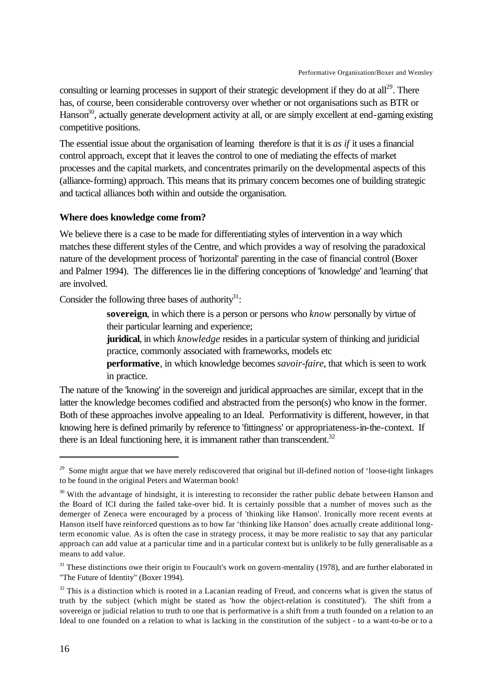consulting or learning processes in support of their strategic development if they do at all<sup>29</sup>. There has, of course, been considerable controversy over whether or not organisations such as BTR or Hanson<sup>30</sup>, actually generate development activity at all, or are simply excellent at end-gaming existing competitive positions.

The essential issue about the organisation of learning therefore is that it is *as if* it uses a financial control approach, except that it leaves the control to one of mediating the effects of market processes and the capital markets, and concentrates primarily on the developmental aspects of this (alliance-forming) approach. This means that its primary concern becomes one of building strategic and tactical alliances both within and outside the organisation.

### **Where does knowledge come from?**

We believe there is a case to be made for differentiating styles of intervention in a way which matches these different styles of the Centre, and which provides a way of resolving the paradoxical nature of the development process of 'horizontal' parenting in the case of financial control (Boxer and Palmer 1994). The differences lie in the differing conceptions of 'knowledge' and 'learning' that are involved.

Consider the following three bases of authority $31$ :

**sovereign**, in which there is a person or persons who *know* personally by virtue of their particular learning and experience;

**juridical**, in which *knowledge* resides in a particular system of thinking and juridicial practice, commonly associated with frameworks, models etc

**performative**, in which knowledge becomes *savoir-faire*, that which is seen to work in practice.

The nature of the 'knowing' in the sovereign and juridical approaches are similar, except that in the latter the knowledge becomes codified and abstracted from the person(s) who know in the former. Both of these approaches involve appealing to an Ideal. Performativity is different, however, in that knowing here is defined primarily by reference to 'fittingness' or appropriateness-in-the-context. If there is an Ideal functioning here, it is immanent rather than transcendent.<sup>32</sup>

<sup>&</sup>lt;sup>29</sup> Some might argue that we have merely rediscovered that original but ill-defined notion of 'loose-tight linkages to be found in the original Peters and Waterman book!

 $30$  With the advantage of hindsight, it is interesting to reconsider the rather public debate between Hanson and the Board of ICI during the failed take-over bid. It is certainly possible that a number of moves such as the demerger of Zeneca were encouraged by a process of 'thinking like Hanson'. Ironically more recent events at Hanson itself have reinforced questions as to how far 'thinking like Hanson' does actually create additional longterm economic value. As is often the case in strategy process, it may be more realistic to say that any particular approach can add value at a particular time and in a particular context but is unlikely to be fully generalisable as a means to add value.

 $31$  These distinctions owe their origin to Foucault's work on govern-mentality (1978), and are further elaborated in "The Future of Identity" (Boxer 1994).

 $32$  This is a distinction which is rooted in a Lacanian reading of Freud, and concerns what is given the status of truth by the subject (which might be stated as 'how the object-relation is constituted'). The shift from a sovereign or judicial relation to truth to one that is performative is a shift from a truth founded on a relation to an Ideal to one founded on a relation to what is lacking in the constitution of the subject - to a want-to-be or to a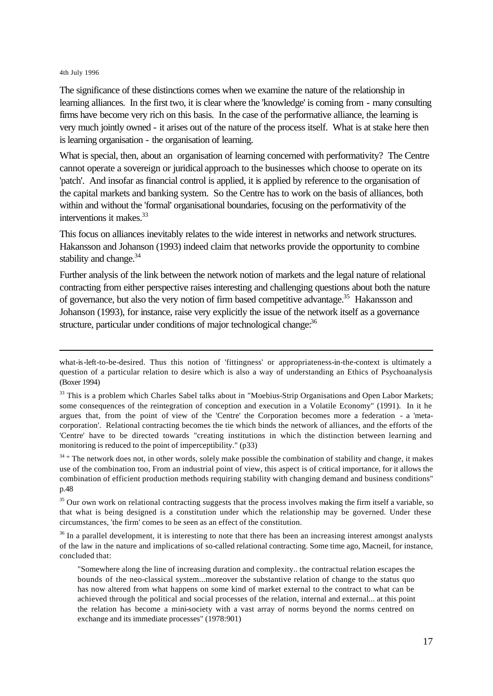l

The significance of these distinctions comes when we examine the nature of the relationship in learning alliances. In the first two, it is clear where the 'knowledge' is coming from - many consulting firms have become very rich on this basis. In the case of the performative alliance, the learning is very much jointly owned - it arises out of the nature of the process itself. What is at stake here then is learning organisation - the organisation of learning.

What is special, then, about an organisation of learning concerned with performativity? The Centre cannot operate a sovereign or juridical approach to the businesses which choose to operate on its 'patch'. And insofar as financial control is applied, it is applied by reference to the organisation of the capital markets and banking system. So the Centre has to work on the basis of alliances, both within and without the 'formal' organisational boundaries, focusing on the performativity of the interventions it makes.<sup>33</sup>

This focus on alliances inevitably relates to the wide interest in networks and network structures. Hakansson and Johanson (1993) indeed claim that networks provide the opportunity to combine stability and change.<sup>34</sup>

Further analysis of the link between the network notion of markets and the legal nature of relational contracting from either perspective raises interesting and challenging questions about both the nature of governance, but also the very notion of firm based competitive advantage.<sup>35</sup> Hakansson and Johanson (1993), for instance, raise very explicitly the issue of the network itself as a governance structure, particular under conditions of major technological change.<sup>36</sup>

<sup>34</sup> " The network does not, in other words, solely make possible the combination of stability and change, it makes use of the combination too, From an industrial point of view, this aspect is of critical importance, for it allows the combination of efficient production methods requiring stability with changing demand and business conditions" p.48

<sup>35</sup> Our own work on relational contracting suggests that the process involves making the firm itself a variable, so that what is being designed is a constitution under which the relationship may be governed. Under these circumstances, 'the firm' comes to be seen as an effect of the constitution.

 $36$  In a parallel development, it is interesting to note that there has been an increasing interest amongst analysts of the law in the nature and implications of so-called relational contracting. Some time ago, Macneil, for instance, concluded that:

"Somewhere along the line of increasing duration and complexity.. the contractual relation escapes the bounds of the neo-classical system...moreover the substantive relation of change to the status quo has now altered from what happens on some kind of market external to the contract to what can be achieved through the political and social processes of the relation, internal and external... at this point the relation has become a mini-society with a vast array of norms beyond the norms centred on exchange and its immediate processes" (1978:901)

what-is-left-to-be-desired. Thus this notion of 'fittingness' or appropriateness-in-the-context is ultimately a question of a particular relation to desire which is also a way of understanding an Ethics of Psychoanalysis (Boxer 1994)

<sup>&</sup>lt;sup>33</sup> This is a problem which Charles Sabel talks about in "Moebius-Strip Organisations and Open Labor Markets; some consequences of the reintegration of conception and execution in a Volatile Economy" (1991). In it he argues that, from the point of view of the 'Centre' the Corporation becomes more a federation - a 'metacorporation'. Relational contracting becomes the tie which binds the network of alliances, and the efforts of the 'Centre' have to be directed towards "creating institutions in which the distinction between learning and monitoring is reduced to the point of imperceptibility." (p33)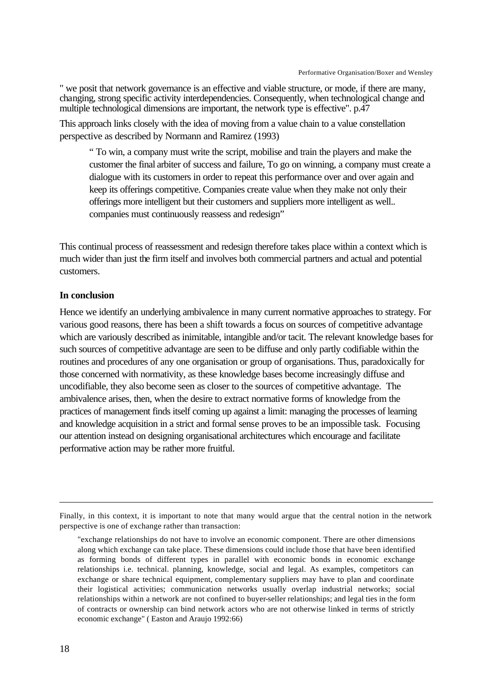" we posit that network governance is an effective and viable structure, or mode, if there are many, changing, strong specific activity interdependencies. Consequently, when technological change and multiple technological dimensions are important, the network type is effective". p.47

This approach links closely with the idea of moving from a value chain to a value constellation perspective as described by Normann and Ramirez (1993)

" To win, a company must write the script, mobilise and train the players and make the customer the final arbiter of success and failure, To go on winning, a company must create a dialogue with its customers in order to repeat this performance over and over again and keep its offerings competitive. Companies create value when they make not only their offerings more intelligent but their customers and suppliers more intelligent as well.. companies must continuously reassess and redesign"

This continual process of reassessment and redesign therefore takes place within a context which is much wider than just the firm itself and involves both commercial partners and actual and potential customers.

### **In conclusion**

Hence we identify an underlying ambivalence in many current normative approaches to strategy. For various good reasons, there has been a shift towards a focus on sources of competitive advantage which are variously described as inimitable, intangible and/or tacit. The relevant knowledge bases for such sources of competitive advantage are seen to be diffuse and only partly codifiable within the routines and procedures of any one organisation or group of organisations. Thus, paradoxically for those concerned with normativity, as these knowledge bases become increasingly diffuse and uncodifiable, they also become seen as closer to the sources of competitive advantage. The ambivalence arises, then, when the desire to extract normative forms of knowledge from the practices of management finds itself coming up against a limit: managing the processes of learning and knowledge acquisition in a strict and formal sense proves to be an impossible task. Focusing our attention instead on designing organisational architectures which encourage and facilitate performative action may be rather more fruitful.

Finally, in this context, it is important to note that many would argue that the central notion in the network perspective is one of exchange rather than transaction:

<sup>&</sup>quot;exchange relationships do not have to involve an economic component. There are other dimensions along which exchange can take place. These dimensions could include those that have been identified as forming bonds of different types in parallel with economic bonds in economic exchange relationships i.e. technical. planning, knowledge, social and legal. As examples, competitors can exchange or share technical equipment, complementary suppliers may have to plan and coordinate their logistical activities; communication networks usually overlap industrial networks; social relationships within a network are not confined to buyer-seller relationships; and legal ties in the form of contracts or ownership can bind network actors who are not otherwise linked in terms of strictly economic exchange" ( Easton and Araujo 1992:66)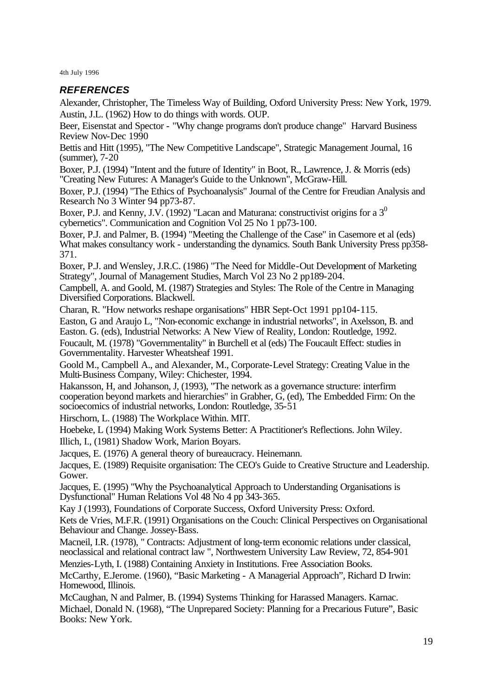# *REFERENCES*

Alexander, Christopher, The Timeless Way of Building, Oxford University Press: New York, 1979. Austin, J.L. (1962) How to do things with words. OUP.

Beer, Eisenstat and Spector - "Why change programs don't produce change" Harvard Business Review Nov-Dec 1990

Bettis and Hitt (1995), "The New Competitive Landscape", Strategic Management Journal, 16 (summer), 7-20

Boxer, P.J. (1994) "Intent and the future of Identity" in Boot, R., Lawrence, J. & Morris (eds) "Creating New Futures: A Manager's Guide to the Unknown", McGraw-Hill.

Boxer, P.J. (1994) "The Ethics of Psychoanalysis" Journal of the Centre for Freudian Analysis and Research No 3 Winter 94 pp73-87.

Boxer, P.J. and Kenny, J.V. (1992) "Lacan and Maturana: constructivist origins for a  $3<sup>0</sup>$ cybernetics". Communication and Cognition Vol 25 No 1 pp73-100.

Boxer, P.J. and Palmer, B. (1994) "Meeting the Challenge of the Case" in Casemore et al (eds) What makes consultancy work - understanding the dynamics. South Bank University Press pp358- 371.

Boxer, P.J. and Wensley, J.R.C. (1986) "The Need for Middle-Out Development of Marketing Strategy", Journal of Management Studies, March Vol 23 No 2 pp189-204.

Campbell, A. and Goold, M. (1987) Strategies and Styles: The Role of the Centre in Managing Diversified Corporations. Blackwell.

Charan, R. "How networks reshape organisations" HBR Sept-Oct 1991 pp104-115.

Easton, G and Araujo L, "Non-economic exchange in industrial networks", in Axelsson, B. and Easton. G. (eds), Industrial Networks: A New View of Reality, London: Routledge, 1992.

Foucault, M. (1978) "Governmentality" in Burchell et al (eds) The Foucault Effect: studies in Governmentality. Harvester Wheatsheaf 1991.

Goold M., Campbell A., and Alexander, M., Corporate-Level Strategy: Creating Value in the Multi-Business Company, Wiley: Chichester, 1994.

Hakansson, H, and Johanson, J, (1993), "The network as a governance structure: interfirm cooperation beyond markets and hierarchies" in Grabher, G, (ed), The Embedded Firm: On the socioecomics of industrial networks, London: Routledge, 35-51

Hirschorn, L. (1988) The Workplace Within. MIT.

Hoebeke, L (1994) Making Work Systems Better: A Practitioner's Reflections. John Wiley.

Illich, I., (1981) Shadow Work, Marion Boyars.

Jacques, E. (1976) A general theory of bureaucracy. Heinemann.

Jacques, E. (1989) Requisite organisation: The CEO's Guide to Creative Structure and Leadership. Gower.

Jacques, E. (1995) "Why the Psychoanalytical Approach to Understanding Organisations is Dysfunctional" Human Relations Vol 48 No 4 pp 343-365.

Kay J (1993), Foundations of Corporate Success, Oxford University Press: Oxford.

Kets de Vries, M.F.R. (1991) Organisations on the Couch: Clinical Perspectives on Organisational Behaviour and Change. Jossey-Bass.

Macneil, I.R. (1978), " Contracts: Adjustment of long-term economic relations under classical, neoclassical and relational contract law ", Northwestern University Law Review, 72, 854-901

Menzies-Lyth, I. (1988) Containing Anxiety in Institutions. Free Association Books.

McCarthy, E.Jerome. (1960), "Basic Marketing - A Managerial Approach", Richard D Irwin: Homewood, Illinois.

McCaughan, N and Palmer, B. (1994) Systems Thinking for Harassed Managers. Karnac. Michael, Donald N. (1968), "The Unprepared Society: Planning for a Precarious Future", Basic Books: New York.